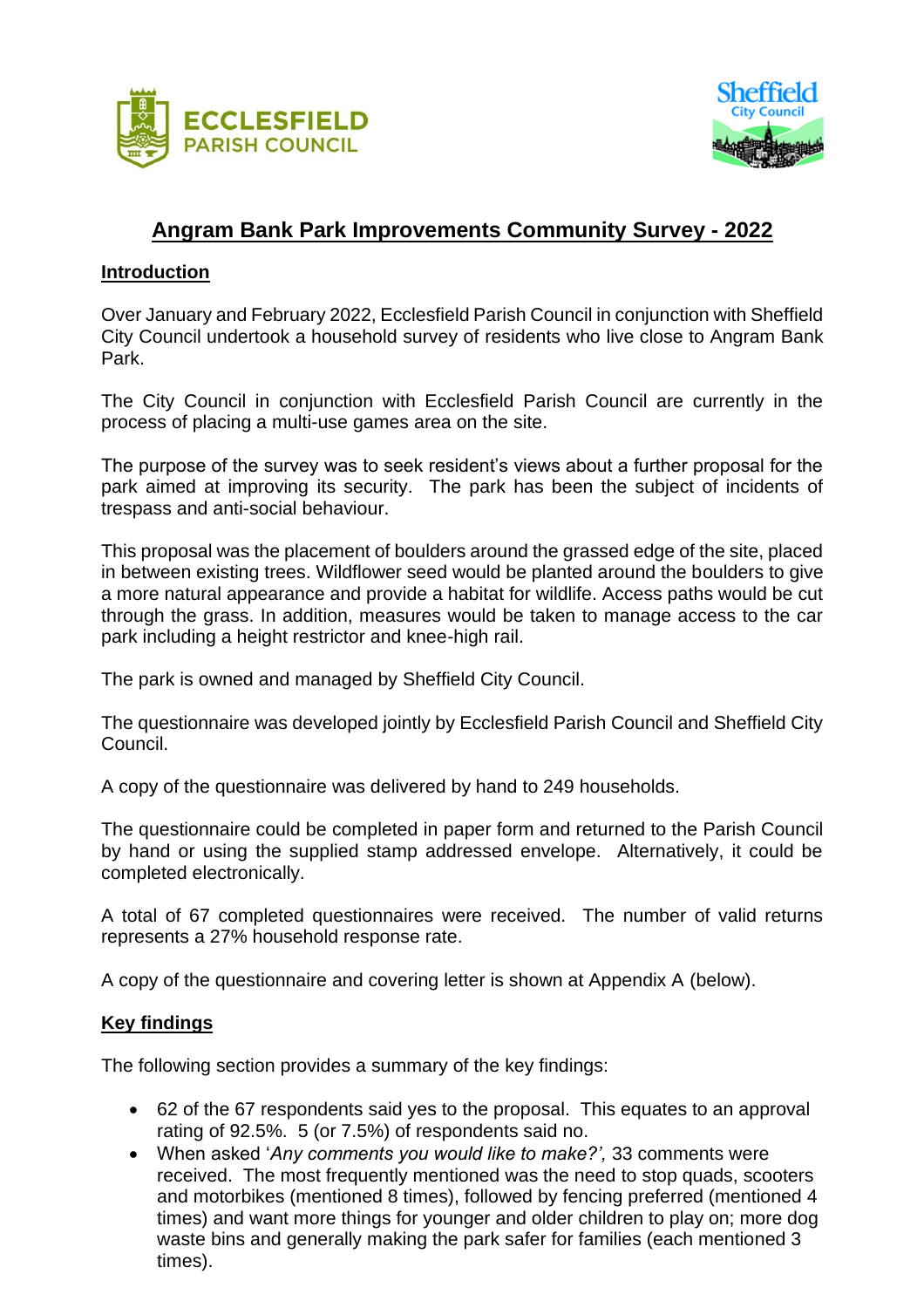



## **Angram Bank Park Improvements Community Survey - 2022**

## **Introduction**

Over January and February 2022, Ecclesfield Parish Council in conjunction with Sheffield City Council undertook a household survey of residents who live close to Angram Bank Park.

The City Council in conjunction with Ecclesfield Parish Council are currently in the process of placing a multi-use games area on the site.

The purpose of the survey was to seek resident's views about a further proposal for the park aimed at improving its security. The park has been the subject of incidents of trespass and anti-social behaviour.

This proposal was the placement of boulders around the grassed edge of the site, placed in between existing trees. Wildflower seed would be planted around the boulders to give a more natural appearance and provide a habitat for wildlife. Access paths would be cut through the grass. In addition, measures would be taken to manage access to the car park including a height restrictor and knee-high rail.

The park is owned and managed by Sheffield City Council.

The questionnaire was developed jointly by Ecclesfield Parish Council and Sheffield City Council.

A copy of the questionnaire was delivered by hand to 249 households.

The questionnaire could be completed in paper form and returned to the Parish Council by hand or using the supplied stamp addressed envelope. Alternatively, it could be completed electronically.

A total of 67 completed questionnaires were received. The number of valid returns represents a 27% household response rate.

A copy of the questionnaire and covering letter is shown at Appendix A (below).

## **Key findings**

The following section provides a summary of the key findings:

- 62 of the 67 respondents said yes to the proposal. This equates to an approval rating of 92.5%. 5 (or 7.5%) of respondents said no.
- When asked '*Any comments you would like to make?',* 33 comments were received. The most frequently mentioned was the need to stop quads, scooters and motorbikes (mentioned 8 times), followed by fencing preferred (mentioned 4 times) and want more things for younger and older children to play on; more dog waste bins and generally making the park safer for families (each mentioned 3 times).